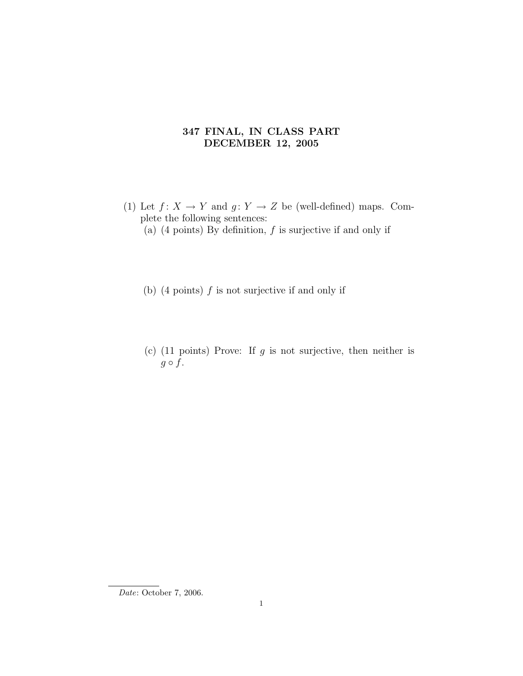## 347 FINAL, IN CLASS PART DECEMBER 12, 2005

- (1) Let  $f: X \to Y$  and  $g: Y \to Z$  be (well-defined) maps. Complete the following sentences:
	- (a)  $(4 \text{ points})$  By definition,  $f$  is surjective if and only if
	- (b)  $(4 \text{ points})$  f is not surjective if and only if
	- (c) (11 points) Prove: If  $g$  is not surjective, then neither is  $g \circ f$ .

Date: October 7, 2006.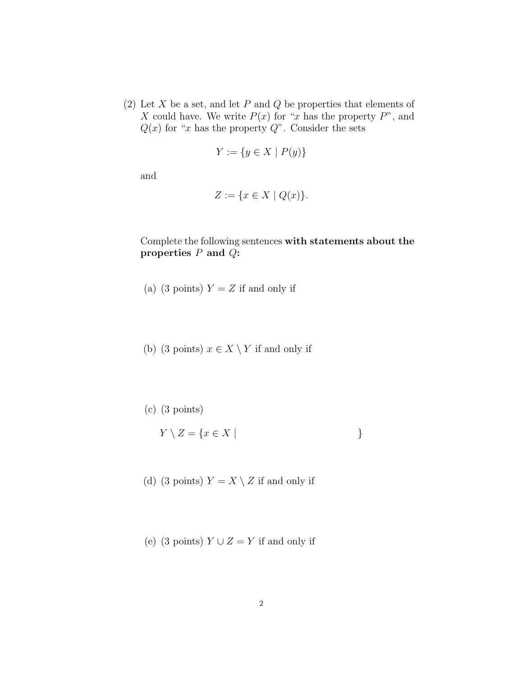(2) Let X be a set, and let P and Q be properties that elements of X could have. We write  $P(x)$  for "x has the property  $P$ ", and  $Q(x)$  for "x has the property  $Q$ ". Consider the sets

$$
Y := \{ y \in X \mid P(y) \}
$$

and

$$
Z := \{ x \in X \mid Q(x) \}.
$$

## Complete the following sentences with statements about the properties  $P$  and  $Q$ :

- (a) (3 points)  $Y = Z$  if and only if
- (b) (3 points)  $x \in X \setminus Y$  if and only if
- (c) (3 points)

$$
Y \setminus Z = \{ x \in X \mid \tag{}
$$

(d) (3 points)  $Y = X \setminus Z$  if and only if

(e) (3 points)  $Y \cup Z = Y$  if and only if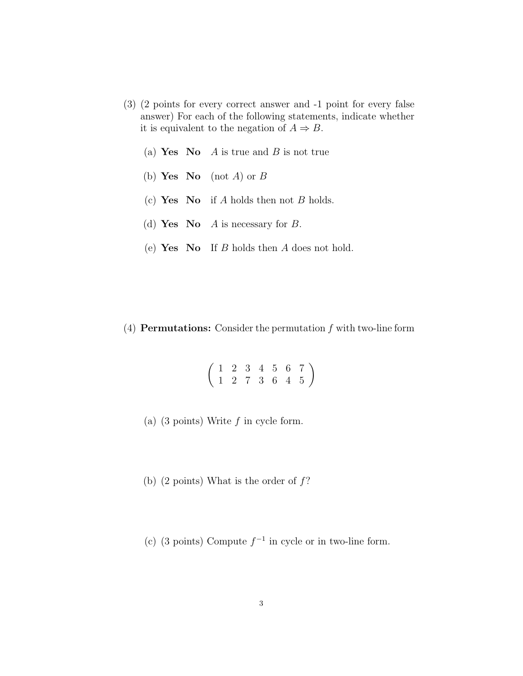- (3) (2 points for every correct answer and -1 point for every false answer) For each of the following statements, indicate whether it is equivalent to the negation of  $A \Rightarrow B$ .
	- (a) Yes No A is true and B is not true
	- (b) Yes No (not A) or B
	- (c) Yes No if A holds then not B holds.
	- (d) Yes No A is necessary for B.
	- (e) Yes No If  $B$  holds then  $A$  does not hold.

(4) **Permutations:** Consider the permutation  $f$  with two-line form

 $\left(\begin{array}{ccccccc} 1 & 2 & 3 & 4 & 5 & 6 & 7 \\ 1 & 2 & 7 & 3 & 6 & 4 & 5 \end{array}\right)$ 

- (a) (3 points) Write  $f$  in cycle form.
- (b) (2 points) What is the order of  $f$ ?
- (c) (3 points) Compute  $f^{-1}$  in cycle or in two-line form.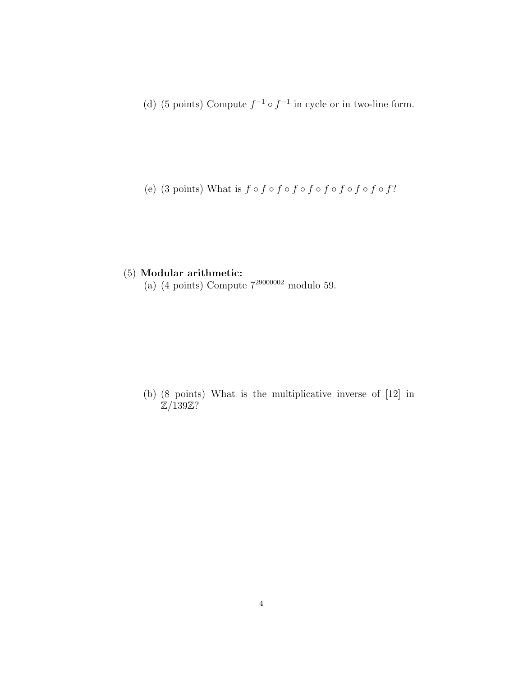(d) (5 points) Compute  $f^{-1} \circ f^{-1}$  in cycle or in two-line form.

(e) (3 points) What is  $f \circ f \circ f \circ f \circ f \circ f \circ f \circ f \circ f$ ?

## (5) Modular arithmetic:

(a)  $(4 \text{ points})$  Compute  $7^{29000002}$  modulo 59.

(b) (8 points) What is the multiplicative inverse of [12] in  $\mathbb{Z}/139\mathbb{Z}$ ?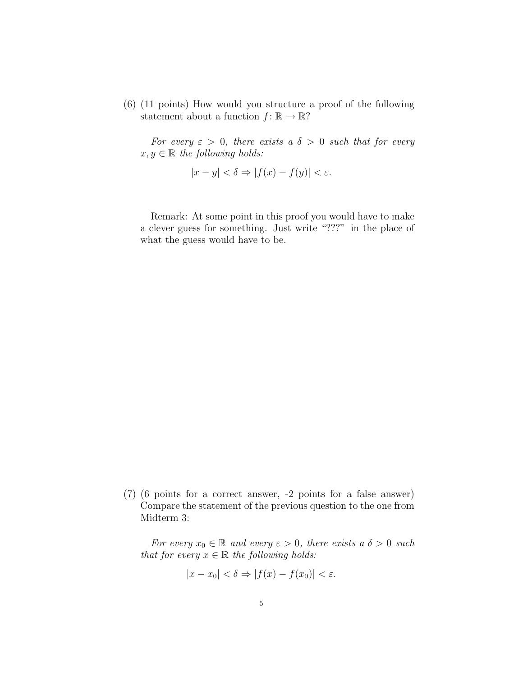(6) (11 points) How would you structure a proof of the following statement about a function  $f: \mathbb{R} \to \mathbb{R}$ ?

For every  $\varepsilon > 0$ , there exists a  $\delta > 0$  such that for every  $x, y \in \mathbb{R}$  the following holds:

$$
|x - y| < \delta \Rightarrow |f(x) - f(y)| < \varepsilon.
$$

Remark: At some point in this proof you would have to make a clever guess for something. Just write "???" in the place of what the guess would have to be.

(7) (6 points for a correct answer, -2 points for a false answer) Compare the statement of the previous question to the one from Midterm 3:

For every  $x_0 \in \mathbb{R}$  and every  $\varepsilon > 0$ , there exists a  $\delta > 0$  such that for every  $x \in \mathbb{R}$  the following holds:

$$
|x - x_0| < \delta \Rightarrow |f(x) - f(x_0)| < \varepsilon.
$$